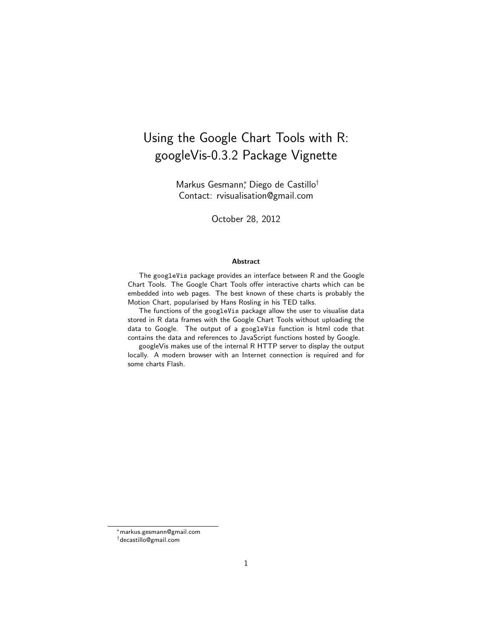# Using the Google Chart Tools with R: googleVis-0.3.2 Package Vignette

Markus Gesmann<sup>∗</sup> , Diego de Castillo† Contact: rvisualisation@gmail.com

October 28, 2012

#### Abstract

The googleVis package provides an interface between R and the Google Chart Tools. The Google Chart Tools offer interactive charts which can be embedded into web pages. The best known of these charts is probably the Motion Chart, popularised by Hans Rosling in his TED talks.

The functions of the googleVis package allow the user to visualise data stored in R data frames with the Google Chart Tools without uploading the data to Google. The output of a googleVis function is html code that contains the data and references to JavaScript functions hosted by Google.

googleVis makes use of the internal R HTTP server to display the output locally. A modern browser with an Internet connection is required and for some charts Flash.

<sup>∗</sup>markus.gesmann@gmail.com

<sup>†</sup>decastillo@gmail.com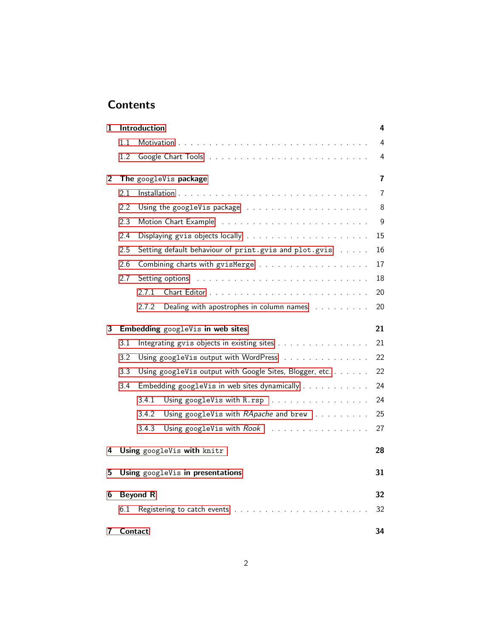# **Contents**

| 1              |         | Introduction    |                                                         | 4                       |
|----------------|---------|-----------------|---------------------------------------------------------|-------------------------|
|                | 1.1     |                 |                                                         | 4                       |
|                | 1.2     |                 |                                                         | 4                       |
| $\overline{2}$ |         |                 | The googleVis package                                   | $\overline{\mathbf{r}}$ |
|                | 2.1     |                 |                                                         | 7                       |
|                | 2.2     |                 |                                                         | 8                       |
|                | 2.3     |                 | Motion Chart Example                                    | 9                       |
|                | 2.4     |                 |                                                         | 15                      |
|                | 2.5     |                 | Setting default behaviour of print.gvis and plot.gvis   | 16                      |
|                | 2.6     |                 |                                                         | 17                      |
|                | 2.7     |                 |                                                         | 18                      |
|                |         | 2.7.1           |                                                         | 20                      |
|                |         | 2.7.2           | Dealing with apostrophes in column names                | 20                      |
| 3              |         |                 | Embedding googleVis in web sites                        | 21                      |
|                | 3.1     |                 | Integrating gvis objects in existing sites              | 21                      |
|                | 3.2     |                 | Using googleVis output with WordPress                   | 22                      |
|                | 3.3     |                 | Using googleVis output with Google Sites, Blogger, etc. | 22                      |
|                | 3.4     |                 | Embedding googleVis in web sites dynamically            | 24                      |
|                |         | 3.4.1           | Using googleVis with R.rsp                              | 24                      |
|                |         | 3.4.2           | Using googleVis with RApache and brew                   | 25                      |
|                |         | 3.4.3           | Using googleVis with Rook                               | 27                      |
| 4              |         |                 | Using googleVis with knitr                              | 28                      |
| 5              |         |                 | Using googleVis in presentations                        | 31                      |
| 6              |         | <b>Beyond R</b> |                                                         | 32                      |
|                | 6.1     |                 | Registering to catch events                             | 32                      |
| 7              | Contact |                 |                                                         | 34                      |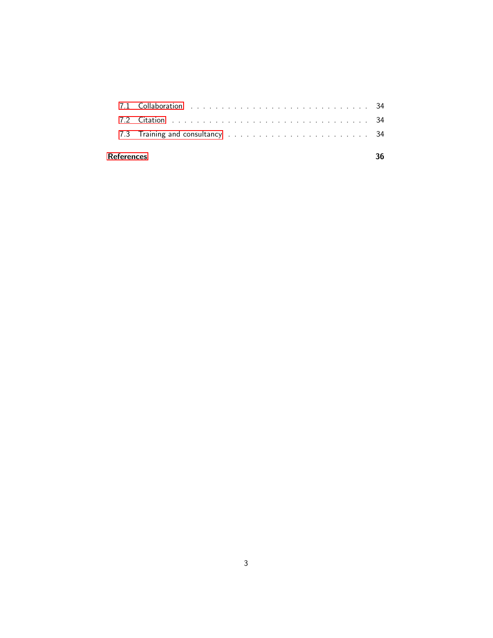| <b>References</b> |  |
|-------------------|--|
|                   |  |
|                   |  |
|                   |  |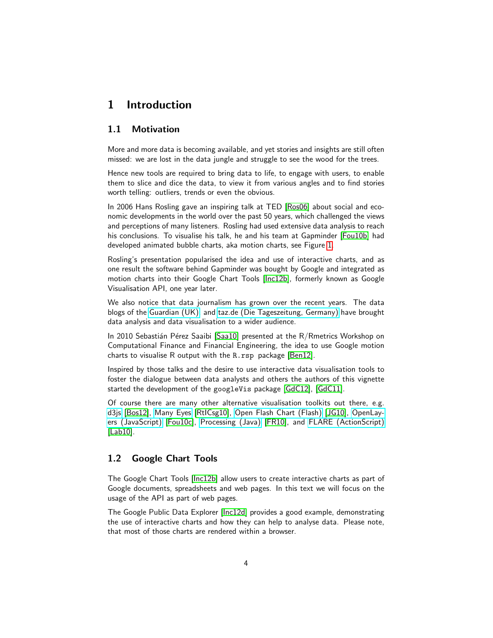### <span id="page-3-0"></span>1 Introduction

### <span id="page-3-1"></span>1.1 Motivation

More and more data is becoming available, and yet stories and insights are still often missed: we are lost in the data jungle and struggle to see the wood for the trees.

Hence new tools are required to bring data to life, to engage with users, to enable them to slice and dice the data, to view it from various angles and to find stories worth telling: outliers, trends or even the obvious.

In 2006 Hans Rosling gave an inspiring talk at TED [\[Ros06\]](#page-34-0) about social and economic developments in the world over the past 50 years, which challenged the views and perceptions of many listeners. Rosling had used extensive data analysis to reach his conclusions. To visualise his talk, he and his team at Gapminder [\[Fou10b\]](#page-33-5) had developed animated bubble charts, aka motion charts, see Figure [1.](#page-4-0)

Rosling's presentation popularised the idea and use of interactive charts, and as one result the software behind Gapminder was bought by Google and integrated as motion charts into their Google Chart Tools [\[Inc12b\]](#page-34-1), formerly known as Google Visualisation API, one year later.

We also notice that data journalism has grown over the recent years. The data blogs of the [Guardian \(UK\),](http://www.guardian.co.uk/news/datablog) and [taz.de \(Die Tageszeitung, Germany\)](http://blogs.taz.de/open-data/) have brought data analysis and data visualisation to a wider audience.

In 2010 Sebastián Pérez Saaibi [\[Saa10\]](#page-35-0) presented at the R/Rmetrics Workshop on Computational Finance and Financial Engineering, the idea to use Google motion charts to visualise R output with the R.rsp package [\[Ben12\]](#page-33-6).

Inspired by those talks and the desire to use interactive data visualisation tools to foster the dialogue between data analysts and others the authors of this vignette started the development of the googleVis package [\[GdC12\]](#page-34-2), [\[GdC11\]](#page-34-3).

Of course there are many other alternative visualisation toolkits out there, e.g. [d3js](http://d3js.org) [\[Bos12\]](#page-33-7), [Many Eyes](http://www-958.ibm.com/software/data/cognos/manyeyes/) [\[RtICsg10\]](#page-34-4), [Open Flash Chart \(Flash\)](http://teethgrinder.co.uk/open-flash-chart/) [\[JG10\]](#page-34-5), [OpenLay](http://www.openlayers.org/)[ers \(JavaScript\)](http://www.openlayers.org/) [\[Fou10c\]](#page-33-8), [Processing \(Java\)](http://processing.org/) [\[FR10\]](#page-34-6), and [FLARE \(ActionScript\)](http://flare.prefuse.org/) [\[Lab10\]](#page-34-7).

### <span id="page-3-2"></span>1.2 Google Chart Tools

The Google Chart Tools [\[Inc12b\]](#page-34-1) allow users to create interactive charts as part of Google documents, spreadsheets and web pages. In this text we will focus on the usage of the API as part of web pages.

The Google Public Data Explorer [\[Inc12d\]](#page-34-8) provides a good example, demonstrating the use of interactive charts and how they can help to analyse data. Please note, that most of those charts are rendered within a browser.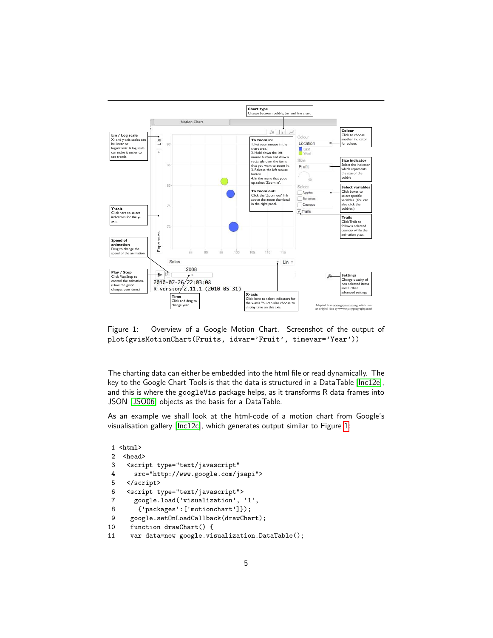

<span id="page-4-0"></span>Figure 1: Overview of a Google Motion Chart. Screenshot of the output of plot(gvisMotionChart(Fruits, idvar='Fruit', timevar='Year'))

The charting data can either be embedded into the html file or read dynamically. The key to the Google Chart Tools is that the data is structured in a DataTable [\[Inc12e\]](#page-34-9), and this is where the googleVis package helps, as it transforms R data frames into JSON [\[JSO06\]](#page-34-10) objects as the basis for a DataTable.

As an example we shall look at the html-code of a motion chart from Google's visualisation gallery [\[Inc12c\]](#page-34-11), which generates output similar to Figure [1:](#page-4-0)

```
1 <html>
2 <head>
3 <script type="text/javascript"
4 src="http://www.google.com/jsapi">
5 </script><br>6 <script t
    6 <script type="text/javascript">
7 google.load('visualization', '1',
8 {'packages':['motionchart']});
9 google.setOnLoadCallback(drawChart);
10 function drawChart() {
11 var data=new google.visualization.DataTable();
```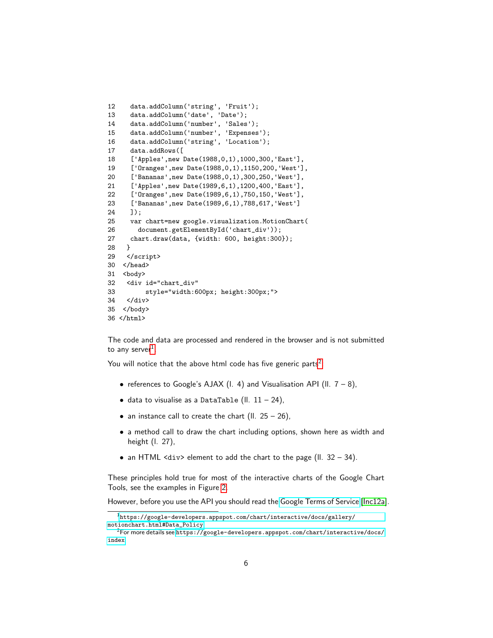```
12 data.addColumn('string', 'Fruit');
13 data.addColumn('date', 'Date');
14 data.addColumn('number', 'Sales');
15 data.addColumn('number', 'Expenses');
16 data.addColumn('string', 'Location');
17 data.addRows([
18 ['Apples',new Date(1988,0,1),1000,300,'East'],
19 ['Oranges',new Date(1988,0,1),1150,200,'West'],
20 ['Bananas',new Date(1988,0,1),300,250,'West'],
21 ['Apples',new Date(1989,6,1),1200,400,'East'],
22 ['Oranges',new Date(1989,6,1),750,150,'West'],
23 ['Bananas',new Date(1989,6,1),788,617,'West']
24 ]);
25 var chart=new google.visualization.MotionChart(
26 document.getElementById('chart_div'));
27 chart.draw(data, {width: 600, height:300});<br>28 }
28 }
29 </script>
30 </head>
31 <br/>body>
32 <div id="chart_div"
33 style="width:600px; height:300px;">
34 </div>
35 </body>
36 </html>
```
The code and data are processed and rendered in the browser and is not submitted to any server $^1$  $^1$ .

You will notice that the above html code has five generic parts<sup>[2](#page-5-1)</sup>:

- references to Google's AJAX (I. 4) and Visualisation API (II.  $7 8$ ),
- $\bullet$  data to visualise as a DataTable (II.  $11 24$ ),
- an instance call to create the chart (II.  $25 26$ ),
- a method call to draw the chart including options, shown here as width and height (l. 27),
- an HTML  $\langle \text{div} \rangle$  element to add the chart to the page (II. 32 34).

These principles hold true for most of the interactive charts of the Google Chart Tools, see the examples in Figure [2.](#page-7-1)

However, before you use the API you should read the [Google Terms of Service](https://developers.google.com/terms/) [\[Inc12a\]](#page-34-12).

<span id="page-5-0"></span><sup>1</sup>[https://google-developers.appspot.com/chart/interactive/docs/gallery/](https://google-developers.appspot.com/chart/interactive/docs/gallery/motionchart.html#Data_Policy) [motionchart.html#Data\\_Policy](https://google-developers.appspot.com/chart/interactive/docs/gallery/motionchart.html#Data_Policy)

<span id="page-5-1"></span><sup>2</sup>For more details see [https://google-developers.appspot.com/chart/interactive/docs/](https://google-developers.appspot.com/chart/interactive/docs/index) [index](https://google-developers.appspot.com/chart/interactive/docs/index)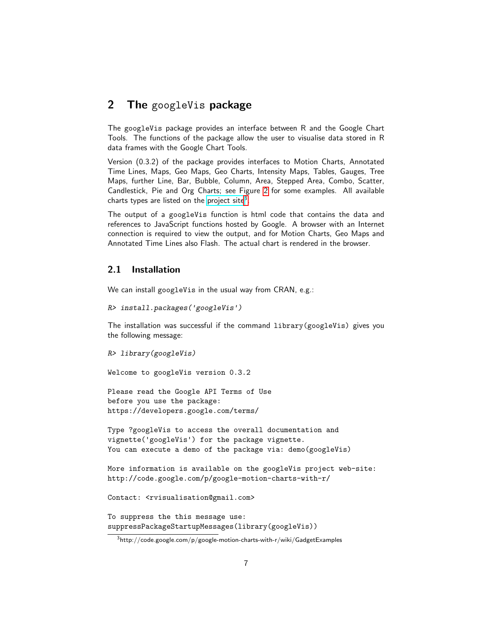### <span id="page-6-0"></span>2 The googleVis package

The googleVis package provides an interface between R and the Google Chart Tools. The functions of the package allow the user to visualise data stored in R data frames with the Google Chart Tools.

Version (0.3.2) of the package provides interfaces to Motion Charts, Annotated Time Lines, Maps, Geo Maps, Geo Charts, Intensity Maps, Tables, Gauges, Tree Maps, further Line, Bar, Bubble, Column, Area, Stepped Area, Combo, Scatter, Candlestick, Pie and Org Charts; see Figure [2](#page-7-1) for some examples. All available charts types are listed on the [project site](http://code.google.com/p/google-motion-charts-with-r/wiki/GadgetExamples)<sup>[3](#page-6-2)</sup>.

The output of a googleVis function is html code that contains the data and references to JavaScript functions hosted by Google. A browser with an Internet connection is required to view the output, and for Motion Charts, Geo Maps and Annotated Time Lines also Flash. The actual chart is rendered in the browser.

### <span id="page-6-1"></span>2.1 Installation

We can install googleVis in the usual way from CRAN, e.g.:

```
R> install.packages('googleVis')
```
The installation was successful if the command library(googleVis) gives you the following message:

```
R> library(googleVis)
Welcome to googleVis version 0.3.2
```
Please read the Google API Terms of Use before you use the package:

https://developers.google.com/terms/

```
Type ?googleVis to access the overall documentation and
vignette('googleVis') for the package vignette.
You can execute a demo of the package via: demo (googleVis)
```
More information is available on the googleVis project web-site: http://code.google.com/p/google-motion-charts-with-r/

```
Contact: <rvisualisation@gmail.com>
```

```
To suppress the this message use:
suppressPackageStartupMessages(library(googleVis))
```
<span id="page-6-2"></span> $3$ http://code.google.com/p/google-motion-charts-with-r/wiki/GadgetExamples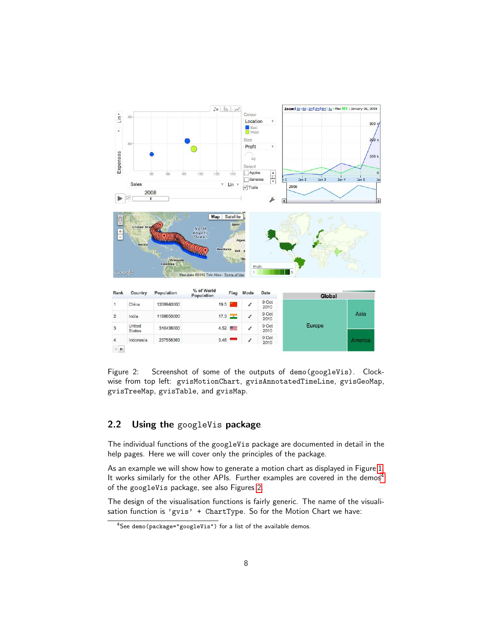

<span id="page-7-1"></span>Figure 2: Screenshot of some of the outputs of demo(googleVis). Clockwise from top left: gvisMotionChart, gvisAnnotatedTimeLine, gvisGeoMap, gvisTreeMap, gvisTable, and gvisMap.

### <span id="page-7-0"></span>2.2 Using the googleVis package

The individual functions of the googleVis package are documented in detail in the help pages. Here we will cover only the principles of the package.

As an example we will show how to generate a motion chart as displayed in Figure [1.](#page-4-0) It works similarly for the other APIs. Further examples are covered in the demos<sup>[4](#page-7-2)</sup> of the googleVis package, see also Figures [2.](#page-7-1)

The design of the visualisation functions is fairly generic. The name of the visualisation function is 'gvis' + ChartType. So for the Motion Chart we have:

<span id="page-7-2"></span><sup>4</sup>See demo(package="googleVis") for a list of the available demos.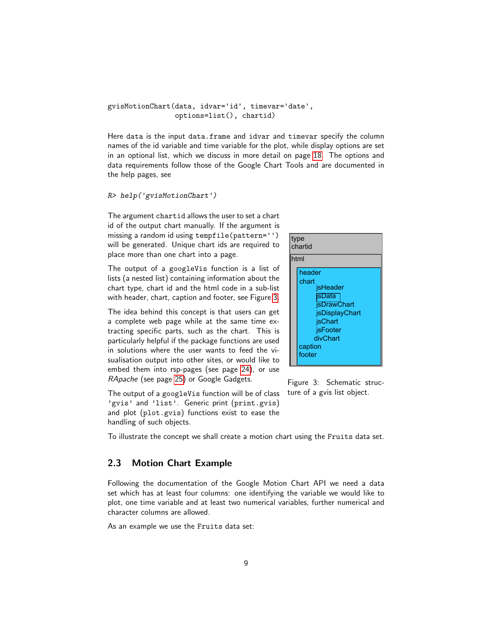#### gvisMotionChart(data, idvar='id', timevar='date', options=list(), chartid)

Here data is the input data.frame and idvar and timevar specify the column names of the id variable and time variable for the plot, while display options are set in an optional list, which we discuss in more detail on page [18.](#page-17-0) The options and data requirements follow those of the Google Chart Tools and are documented in the help pages, see

### R> help('gvisMotionChart')  $\mathcal{V}$ ja"eq $\mathcal{V}$ iqing $\mathcal{V}$

id of the output chart manually. If the argument is missing a random id using tempfile(pattern='') will be generated. Unique chart ids are required to place more than one chart into a page. The argument chartid allows the user to set a chart

with header, chart, caption and footer, see Figure [3.](#page-8-1) lists (a nested list) containing information about the chart type, chart id and the html code in a sub-list The output of a googleVis function is a list of

embed them into rsp-pages (see page [24\)](#page-23-1), or use The idea behind this concept is that users can get a complete web page while at the same time extracting specific parts, such as the chart. This is particularly helpful if the package functions are used in solutions where the user wants to feed the visualisation output into other sites, or would like to RApache (see page [25\)](#page-24-0) or Google Gadgets.

<span id="page-8-1"></span>

Figure 3: Schematic structure of a gvis list object.

The output of a googleVis function will be of class 'gvis' and 'list'. Generic print (print.gvis) and plot (plot.gvis) functions exist to ease the handling of such objects.

To illustrate the concept we shall create a motion chart using the Fruits data set.

### <span id="page-8-0"></span>2.3 Motion Chart Example

Following the documentation of the Google Motion Chart API we need a data set which has at least four columns: one identifying the variable we would like to plot, one time variable and at least two numerical variables, further numerical and character columns are allowed.

As an example we use the Fruits data set: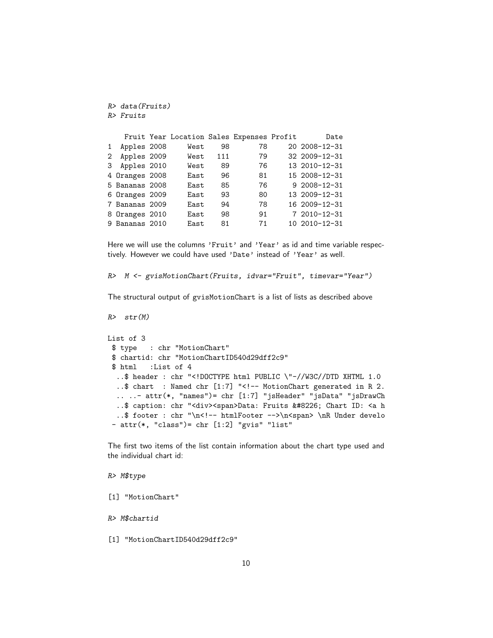```
R> data(Fruits)
R> Fruits
```

|              |                | Fruit Year Location Sales Expenses Profit |     |    | Date              |
|--------------|----------------|-------------------------------------------|-----|----|-------------------|
| $\mathbf{1}$ | Apples 2008    | West                                      | 98  | 78 | 20 2008-12-31     |
| $\mathbf{2}$ | Apples 2009    | West                                      | 111 | 79 | 32 2009-12-31     |
|              | 3 Apples 2010  | West                                      | 89  | 76 | 13 2010-12-31     |
|              | 4 Oranges 2008 | East                                      | 96  | 81 | 15 2008-12-31     |
|              | 5 Bananas 2008 | East                                      | 85  | 76 | $92008 - 12 - 31$ |
|              | 6 Oranges 2009 | East                                      | 93  | 80 | 13 2009-12-31     |
|              | 7 Bananas 2009 | East                                      | 94  | 78 | 16 2009-12-31     |
|              | 8 Oranges 2010 | East                                      | 98  | 91 | 7 2010-12-31      |
|              | 9 Bananas 2010 | East                                      | 81  | 71 | 10 2010-12-31     |

Here we will use the columns 'Fruit' and 'Year' as id and time variable respectively. However we could have used 'Date' instead of 'Year' as well.

R> M <- gvisMotionChart(Fruits, idvar="Fruit", timevar="Year")

The structural output of gvisMotionChart is a list of lists as described above

```
R> str(M)
```

```
List of 3
 $ type : chr "MotionChart"
 $ chartid: chr "MotionChartID540d29dff2c9"
 $ html :List of 4
  ..$ header : chr "<!DOCTYPE html PUBLIC \"-//W3C//DTD XHTML 1.0
  ..$ chart : Named chr [1:7] "<!-- MotionChart generated in R 2.
  .. ..- attr(*, "names")= chr [1:7] "jsHeader" "jsData" "jsDrawCh
  ..$ caption: chr "<div><span>Data: Fruits &#8226; Chart ID: <a h
  ..$ footer : chr "\n<!-- htmlFooter -->\n<span> \nR Under develo
 - attr(*, "class")= chr [1:2] "gvis" "list"
```
The first two items of the list contain information about the chart type used and the individual chart id:

#### R> M\$type

[1] "MotionChart"

R> M\$chartid

[1] "MotionChartID540d29dff2c9"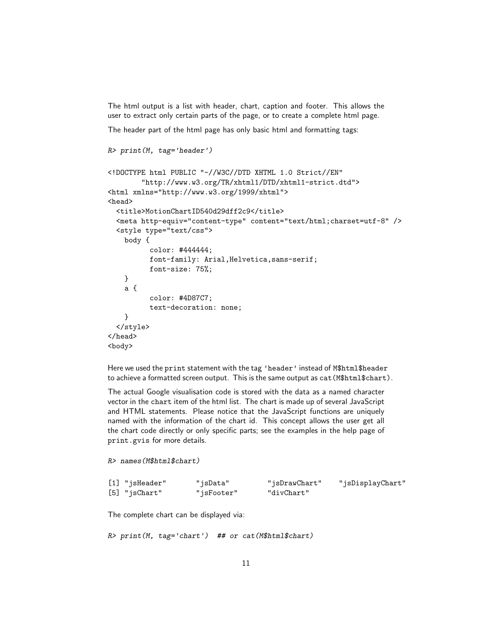The html output is a list with header, chart, caption and footer. This allows the user to extract only certain parts of the page, or to create a complete html page.

The header part of the html page has only basic html and formatting tags:

```
R> print(M, tag='header')
```

```
<!DOCTYPE html PUBLIC "-//W3C//DTD XHTML 1.0 Strict//EN"
        "http://www.w3.org/TR/xhtml1/DTD/xhtml1-strict.dtd">
<html xmlns="http://www.w3.org/1999/xhtml">
<head>
  <title>MotionChartID540d29dff2c9</title>
  <meta http-equiv="content-type" content="text/html;charset=utf-8" />
 <style type="text/css">
   body {
          color: #444444;
          font-family: Arial,Helvetica,sans-serif;
         font-size: 75%;
   }
   a {
          color: #4D87C7;
          text-decoration: none;
   }
  </style>
</head>
<body>
```
Here we used the print statement with the tag 'header' instead of M\$html\$header to achieve a formatted screen output. This is the same output as cat(M\$html\$chart).

The actual Google visualisation code is stored with the data as a named character vector in the chart item of the html list. The chart is made up of several JavaScript and HTML statements. Please notice that the JavaScript functions are uniquely named with the information of the chart id. This concept allows the user get all the chart code directly or only specific parts; see the examples in the help page of print.gvis for more details.

```
R> names(M$html$chart)
```

| [1] "jsHeader"            | "jsData"   | "jsDrawChart" | "jsDisplayChart" |
|---------------------------|------------|---------------|------------------|
| $[5]$ "js ${\tt Chart}$ " | "jsFooter" | "divChart"    |                  |

The complete chart can be displayed via:

R> print(M, tag='chart') ## or cat(M\$html\$chart)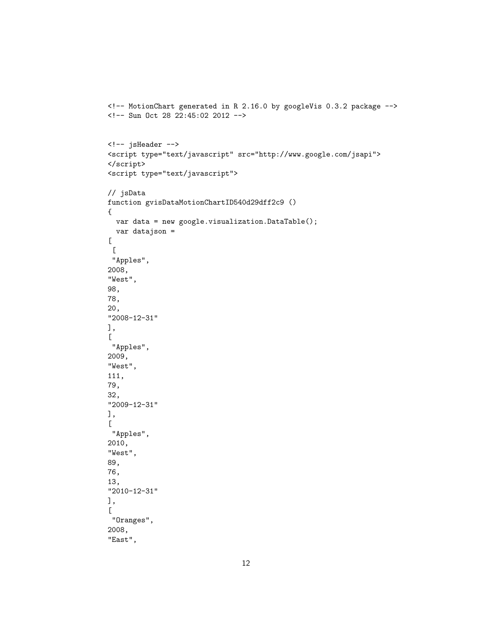```
<!-- MotionChart generated in R 2.16.0 by googleVis 0.3.2 package -->
<!-- Sun Oct 28 22:45:02 2012 -->
<!-- jsHeader -->
<script type="text/javascript" src="http://www.google.com/jsapi">
</script>
<script type="text/javascript">
// jsData
function gvisDataMotionChartID540d29dff2c9 ()
{
  var data = new google.visualization.DataTable();
  var datajson =
\Gamma\lfloor"Apples",
2008,
"West",
98,
78,
20,
"2008-12-31"
],
\Gamma"Apples",
2009,
"West",
111,
79,
32,
"2009-12-31"
],
\lfloor"Apples",
2010,
"West",
89,
76,
13,
"2010-12-31"
],
\Gamma"Oranges",
2008,
"East",
```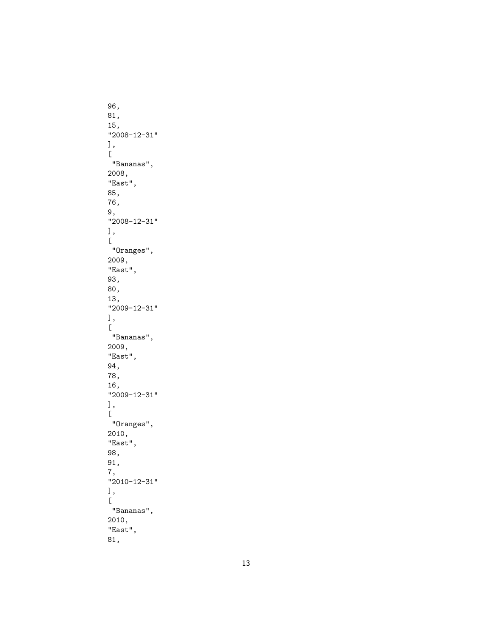```
96,
81,
15,
"2008-12-31"
\lfloor"Bananas",
2008,
"East",
85,
76,
9,
"2008-12-31"<br>],
\lfloor"Oranges",
2009,
"East",
93,
80,
13,
"2009-12-31"
],[
"Bananas",
2009,
"East",
94,
78,
16,
"2009-12-31"
\lfloor"Oranges",
2010,
"East",
98,
91,
7,
"2010-12-31"
\lfloor"Bananas",
2010,
"East",
81,
```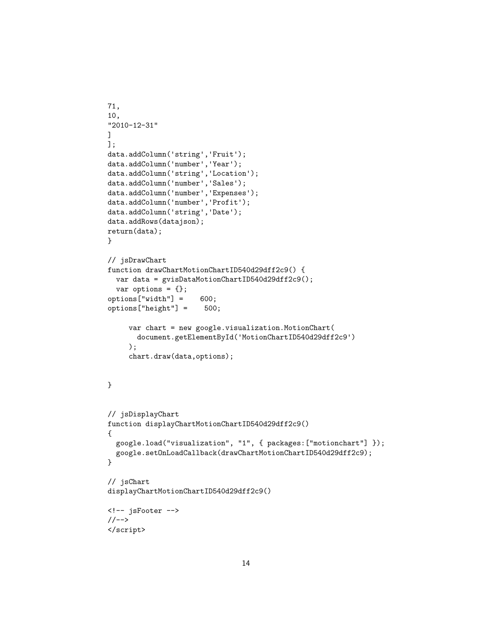```
71,
10,
"2010-12-31"
\mathbf{I}];
data.addColumn('string','Fruit');
data.addColumn('number','Year');
data.addColumn('string','Location');
data.addColumn('number','Sales');
data.addColumn('number','Expenses');
data.addColumn('number','Profit');
data.addColumn('string','Date');
data.addRows(datajson);
return(data);
}
// jsDrawChart
function drawChartMotionChartID540d29dff2c9() {
 var data = gvisDataMotionChartID540d29dff2c9();
 var options = \{\};
options["width"] = 600;
options["height"] = 500;
     var chart = new google.visualization.MotionChart(
       document.getElementById('MotionChartID540d29dff2c9')
     );
     chart.draw(data,options);
}
// jsDisplayChart
function displayChartMotionChartID540d29dff2c9()
{
 google.load("visualization", "1", { packages:["motionchart"] });
 google.setOnLoadCallback(drawChartMotionChartID540d29dff2c9);
}
// jsChart
displayChartMotionChartID540d29dff2c9()
<!-- jsFooter -->
//-->
</script>
```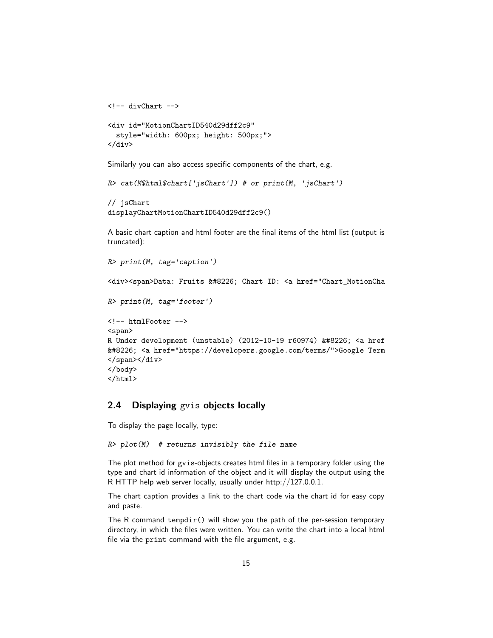```
<!-- divChart -->
<div id="MotionChartID540d29dff2c9"
  style="width: 600px; height: 500px;">
</div>
```
Similarly you can also access specific components of the chart, e.g.

```
R> cat(M$html$chart['jsChart']) # or print(M, 'jsChart')
```

```
// jsChart
displayChartMotionChartID540d29dff2c9()
```
A basic chart caption and html footer are the final items of the html list (output is truncated):

```
R> print(M, tag='caption')
<div><span>Data: Fruits &#8226; Chart ID: <a href="Chart_MotionCha
R> print(M, tag='footer')
<!-- htmlFooter -->
<span>
R Under development (unstable) (2012-10-19 r60974) • <a href
&#8226; <a href="https://developers.google.com/terms/">Google Term
</span></div>
</body>
</html>
```
### <span id="page-14-0"></span>2.4 Displaying gvis objects locally

To display the page locally, type:

```
R> plot(M) # returns invisibly the file name
```
The plot method for gvis-objects creates html files in a temporary folder using the type and chart id information of the object and it will display the output using the R HTTP help web server locally, usually under http://127.0.0.1.

The chart caption provides a link to the chart code via the chart id for easy copy and paste.

The R command tempdir() will show you the path of the per-session temporary directory, in which the files were written. You can write the chart into a local html file via the print command with the file argument, e.g.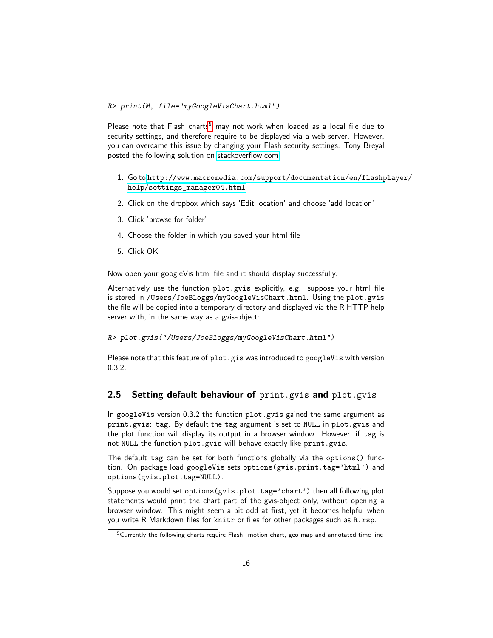R> print(M, file="myGoogleVisChart.html")

Please note that Flash charts<sup>[5](#page-15-1)</sup> may not work when loaded as a local file due to security settings, and therefore require to be displayed via a web server. However, you can overcame this issue by changing your Flash security settings. Tony Breyal posted the following solution on [stackoverflow.com:](http://stackoverflow.com/questions/8009825/cannot-view-gvismotionchart-from-printed-html-file )

- 1. Go to [http://www.macromedia.com/support/documentation/en/flashp](http://www.macromedia.com/support/documentation/en/flashplayer/help/settings_manager04.html)layer/ [help/settings\\_manager04.html](http://www.macromedia.com/support/documentation/en/flashplayer/help/settings_manager04.html)
- 2. Click on the dropbox which says 'Edit location' and choose 'add location'
- 3. Click 'browse for folder'
- 4. Choose the folder in which you saved your html file
- 5. Click OK

Now open your googleVis html file and it should display successfully.

Alternatively use the function plot.gvis explicitly, e.g. suppose your html file is stored in /Users/JoeBloggs/myGoogleVisChart.html. Using the plot.gvis the file will be copied into a temporary directory and displayed via the R HTTP help server with, in the same way as a gvis-object:

R> plot.gvis("/Users/JoeBloggs/myGoogleVisChart.html")

Please note that this feature of plot.gis was introduced to googleVis with version 0.3.2.

### <span id="page-15-0"></span>2.5 Setting default behaviour of print.gvis and plot.gvis

In googleVis version 0.3.2 the function plot.gvis gained the same argument as print.gvis: tag. By default the tag argument is set to NULL in plot.gvis and the plot function will display its output in a browser window. However, if tag is not NULL the function plot.gvis will behave exactly like print.gvis.

The default tag can be set for both functions globally via the options() function. On package load googleVis sets options(gvis.print.tag='html') and options(gvis.plot.tag=NULL).

Suppose you would set options(gvis.plot.tag='chart') then all following plot statements would print the chart part of the gvis-object only, without opening a browser window. This might seem a bit odd at first, yet it becomes helpful when you write R Markdown files for knitr or files for other packages such as R.rsp.

<span id="page-15-1"></span><sup>&</sup>lt;sup>5</sup>Currently the following charts require Flash: motion chart, geo map and annotated time line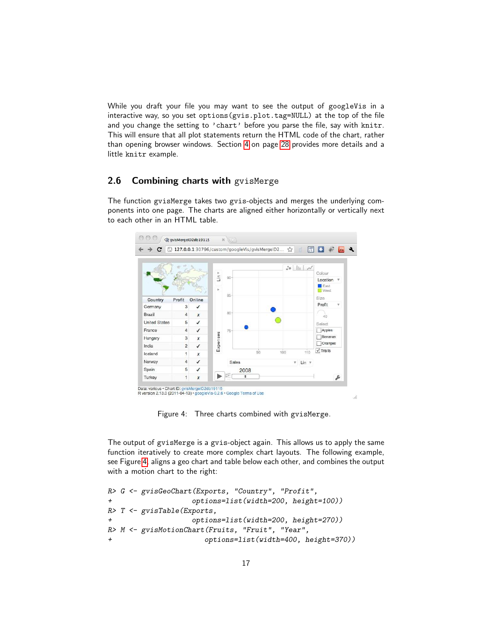While you draft your file you may want to see the output of googleVis in a interactive way, so you set options(gvis.plot.tag=NULL) at the top of the file and you change the setting to 'chart' before you parse the file, say with knitr. This will ensure that all plot statements return the HTML code of the chart, rather than opening browser windows. Section [4](#page-27-0) on page [28](#page-27-0) provides more details and a little knitr example.

### <span id="page-16-0"></span>2.6 Combining charts with gvisMerge

The function gvisMerge takes two gvis-objects and merges the underlying components into one page. The charts are aligned either horizontally or vertically next to each other in an HTML table.



<span id="page-16-1"></span>Figure 4: Three charts combined with gvisMerge.

The output of gvisMerge is a gvis-object again. This allows us to apply the same function iteratively to create more complex chart layouts. The following example, see Figure [4,](#page-16-1) aligns a geo chart and table below each other, and combines the output with a motion chart to the right:

```
R> G <- gvisGeoChart(Exports, "Country", "Profit",
+ options=list(width=200, height=100))
R> T <- gvisTable(Exports,
+ options=list(width=200, height=270))
R> M <- gvisMotionChart(Fruits, "Fruit", "Year",
+ options=list(width=400, height=370))
```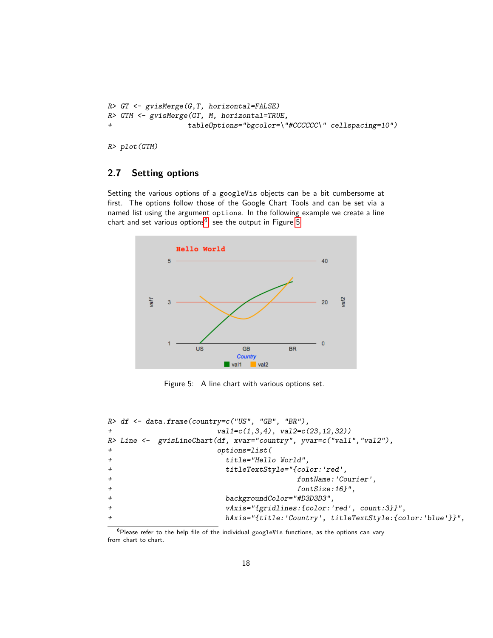```
R> GT <- gvisMerge(G,T, horizontal=FALSE)
R> GTM <- gvisMerge(GT, M, horizontal=TRUE,
                   + tableOptions="bgcolor=\"#CCCCCC\" cellspacing=10")
```
R> plot(GTM)

### <span id="page-17-0"></span>2.7 Setting options

Setting the various options of a googleVis objects can be a bit cumbersome at first. The options follow those of the Google Chart Tools and can be set via a named list using the argument options. In the following example we create a line chart and set various options $^6$  $^6$ , see the output in Figure [5.](#page-17-2)



<span id="page-17-2"></span>Figure 5: A line chart with various options set.

```
R> df <- data.frame(country=c("US", "GB", "BR"),
+ val1=c(1,3,4), val2=c(23,12,32))
R> Line <- gvisLineChart(df, xvar="country", yvar=c("val1","val2"),
+ options=list(
+ title="Hello World",
+ titleTextStyle="{color:'red',
+ fontName:'Courier',
+ fontSize:16}",
+ backgroundColor="#D3D3D3",
+ vAxis="{gridlines:{color:'red', count:3}}",
+ hAxis="{title:'Country', titleTextStyle:{color:'blue'}}",
```
<span id="page-17-1"></span> $6$ Please refer to the help file of the individual googleVis functions, as the options can vary from chart to chart.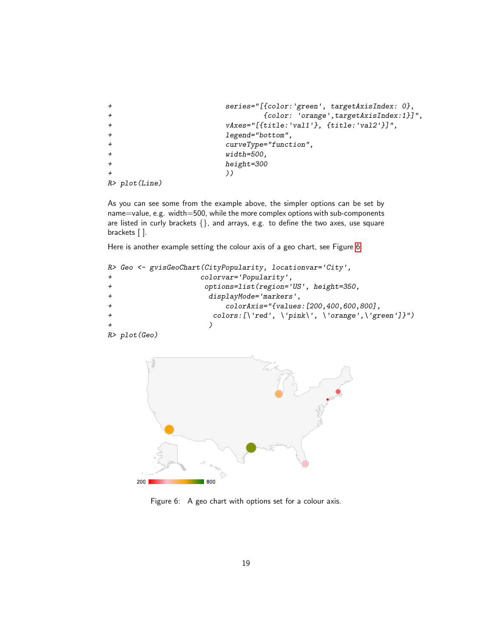```
+ series="[{color:'green', targetAxisIndex: 0},
+ {color: 'orange',targetAxisIndex:1}]",
                 + vAxes="[{title:'val1'}, {title:'val2'}]",
                 legend="bottom",
                 curveType="function",+ width=500,
+ height=300
+ ))
R> plot(Line)
```
As you can see some from the example above, the simpler options can be set by name=value, e.g. width=500, while the more complex options with sub-components are listed in curly brackets  $\{\}$ , and arrays, e.g. to define the two axes, use square brackets [ ].

Here is another example setting the colour axis of a geo chart, see Figure [6:](#page-18-0)

```
R> Geo <- gvisGeoChart(CityPopularity, locationvar='City',
+ colorvar='Popularity',
+ options=list(region='US', height=350,
+ displayMode='markers',
                    + colorAxis="{values:[200,400,600,800],
+ colors:[\'red', \'pink\', \'orange',\'green']}")<br>+
+ )
R> plot(Geo)
```


<span id="page-18-0"></span>Figure 6: A geo chart with options set for a colour axis.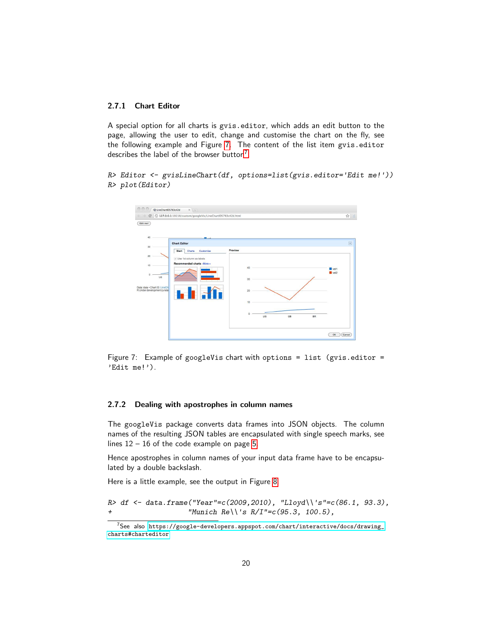### <span id="page-19-0"></span>2.7.1 Chart Editor

A special option for all charts is gvis.editor, which adds an edit button to the page, allowing the user to edit, change and customise the chart on the fly, see the following example and Figure [7.](#page-19-2) The content of the list item gvis.editor describes the label of the browser button<sup>[7](#page-19-3)</sup>.

R> Editor <- gvisLineChart(df, options=list(gvis.editor='Edit me!')) R> plot(Editor)

| 00<br>CR LineChartID5783c42d                                                                                               | $x \ge 1$                                                                                                                    |                                            |    |    |           |              |                  |
|----------------------------------------------------------------------------------------------------------------------------|------------------------------------------------------------------------------------------------------------------------------|--------------------------------------------|----|----|-----------|--------------|------------------|
| C<br>$\leftarrow$                                                                                                          | 127.0.0.1:19218/custom/googleVis/LineChartID5783c42d.html                                                                    |                                            |    |    |           |              | ☆ 1              |
| Edit me!<br>$40$<br>30<br>20<br>10<br>$\theta$<br><b>US</b><br>Data: data . Chart ID: LineCh<br>R Under development (unsta | <b>Chart Editor</b><br>Customise<br><b>Start</b><br><b>Charts</b><br>Use 1st column as labels<br>Recommended charts - More » | Preview<br>40<br>30<br>20<br>10<br>$\circ$ | US | GB | <b>BR</b> | wal1<br>val2 | $\boxed{\times}$ |
|                                                                                                                            |                                                                                                                              |                                            |    |    |           | OK           | Cancel           |

<span id="page-19-2"></span>Figure 7: Example of googleVis chart with options = list (gvis.editor = 'Edit me!').

### <span id="page-19-1"></span>2.7.2 Dealing with apostrophes in column names

The googleVis package converts data frames into JSON objects. The column names of the resulting JSON tables are encapsulated with single speech marks, see lines 12 – 16 of the code example on page [5.](#page-3-2)

Hence apostrophes in column names of your input data frame have to be encapsulated by a double backslash.

Here is a little example, see the output in Figure [8.](#page-20-2)

 $R$  df <- data.frame("Year"=c(2009,2010), "Lloyd\\'s"=c(86.1, 93.3), + "Munich Re\\'s R/I"=c(95.3, 100.5),

<span id="page-19-3"></span><sup>7</sup>See also [https://google-developers.appspot.com/chart/interactive/docs/drawing\\_](https://google-developers.appspot.com/chart/interactive/docs/drawing_charts#charteditor) [charts#charteditor](https://google-developers.appspot.com/chart/interactive/docs/drawing_charts#charteditor)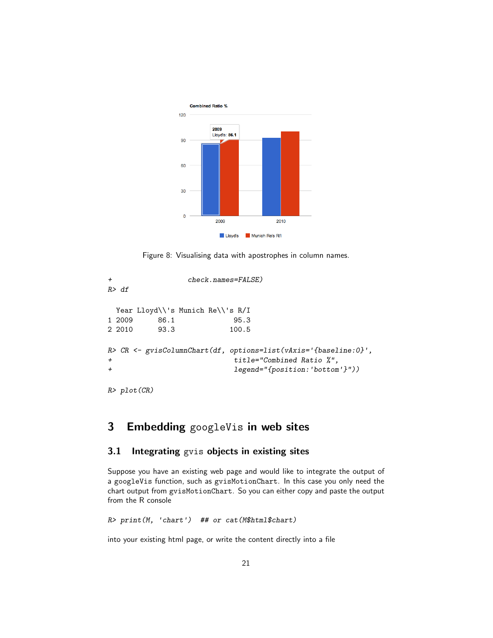

<span id="page-20-2"></span>Figure 8: Visualising data with apostrophes in column names.

+ check.names=FALSE) R> df Year Lloyd\\'s Munich Re\\'s R/I 1 2009 86.1 95.3 2 2010 93.3 100.5 R> CR <- gvisColumnChart(df, options=list(vAxis='{baseline:0}', + title="Combined Ratio %", + legend="{position:'bottom'}"))

R> plot(CR)

## <span id="page-20-0"></span>3 Embedding googleVis in web sites

### <span id="page-20-1"></span>3.1 Integrating gvis objects in existing sites

Suppose you have an existing web page and would like to integrate the output of a googleVis function, such as gvisMotionChart. In this case you only need the chart output from gvisMotionChart. So you can either copy and paste the output from the R console

```
R> print(M, 'chart') ## or cat(M$html$chart)
```
into your existing html page, or write the content directly into a file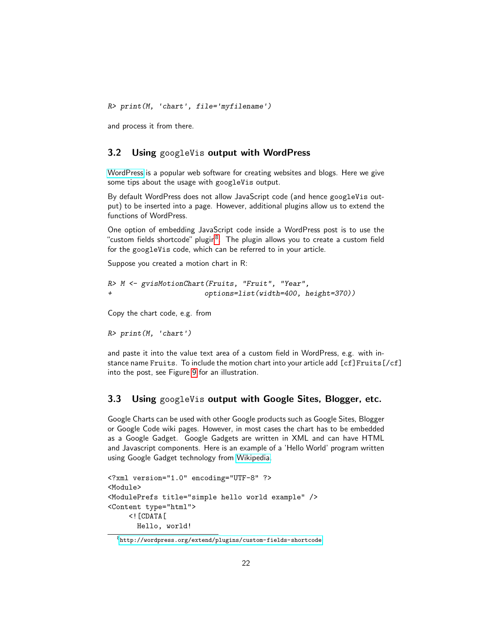R> print(M, 'chart', file='myfilename')

and process it from there.

### <span id="page-21-0"></span>3.2 Using googleVis output with WordPress

[WordPress](http://wordpress.org/) is a popular web software for creating websites and blogs. Here we give some tips about the usage with googleVis output.

By default WordPress does not allow JavaScript code (and hence googleVis output) to be inserted into a page. However, additional plugins allow us to extend the functions of WordPress.

One option of embedding JavaScript code inside a WordPress post is to use the "custom fields shortcode" plugin<sup>[8](#page-21-2)</sup>. The plugin allows you to create a custom field for the googleVis code, which can be referred to in your article.

Suppose you created a motion chart in R:

```
R> M <- gvisMotionChart(Fruits, "Fruit", "Year",
+ options=list(width=400, height=370))
```
Copy the chart code, e.g. from

```
R> print(M, 'chart')
```
and paste it into the value text area of a custom field in WordPress, e.g. with instance name Fruits. To include the motion chart into your article add [cf]Fruits[/cf] into the post, see Figure [9](#page-22-0) for an illustration.

### <span id="page-21-1"></span>3.3 Using googleVis output with Google Sites, Blogger, etc.

Google Charts can be used with other Google products such as Google Sites, Blogger or Google Code wiki pages. However, in most cases the chart has to be embedded as a Google Gadget. Google Gadgets are written in XML and can have HTML and Javascript components. Here is an example of a 'Hello World' program written using Google Gadget technology from [Wikipedia.](http://en.wikipedia.org/wiki/Google_Gadgets)

```
<?xml version="1.0" encoding="UTF-8" ?>
<Module>
<ModulePrefs title="simple hello world example" />
<Content type="html">
     \leq! [CDATA [
       Hello, world!
```
<span id="page-21-2"></span> ${}^{8}\texttt{http://wordpress.org/extend/plugins/custom-fields-shortcode}$  ${}^{8}\texttt{http://wordpress.org/extend/plugins/custom-fields-shortcode}$  ${}^{8}\texttt{http://wordpress.org/extend/plugins/custom-fields-shortcode}$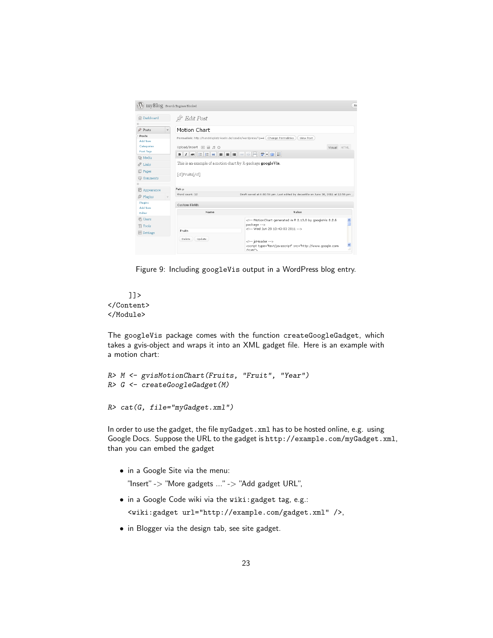|                                  | myBlog Search Engines Blocked                                |                                                                                                                                   |
|----------------------------------|--------------------------------------------------------------|-----------------------------------------------------------------------------------------------------------------------------------|
| <b>命</b> Dashboard               | $\mathcal{R}$ Edit Post                                      |                                                                                                                                   |
| Posts<br>$\overline{\mathbf{v}}$ | Motion Chart                                                 |                                                                                                                                   |
| Posts<br>Add New                 |                                                              | Permalink: http://handelsplatz-koeln.de/casdie/wordpress/?p=4 (Change Permalinks<br>View Post                                     |
| Categories                       | Upload/Insert 画 画 月 章                                        | Visual HTML                                                                                                                       |
| Post Tags                        | $I$ ABC<br>в                                                 | E E « E E E ∞ ⊗ E ♥ - □ E                                                                                                         |
| <b>图 Media</b>                   |                                                              |                                                                                                                                   |
| D<br>Links                       | This is an example of a motion chart by R-package googleVis. |                                                                                                                                   |
| <b>Pages</b>                     | [cf]Fruits[/cf]                                              |                                                                                                                                   |
| Comments                         |                                                              |                                                                                                                                   |
|                                  |                                                              |                                                                                                                                   |
| <b>同</b> Appearance              | Path: p                                                      |                                                                                                                                   |
| $\otimes$ Plugins                | Word count: 12                                               | Draft saved at 6:02:56 pm. Last edited by decastillo on June 30, 2011 at 12:56 pm                                                 |
| Plugins<br>Add New               | <b>Custom Fields</b>                                         |                                                                                                                                   |
| Editor                           | Name                                                         | Value                                                                                                                             |
| <b>绝 Users</b>                   |                                                              | $\frac{\lambda}{\Box}$<br>MotionChart generated in R 2.13.0 by googleVis 0.2.6</td></tr><tr><td>Th Tools</td><td></td><td>package |
| 89 Settings                      | Fruits                                                       | Wed Jun 29 10:43:03 2011                                                                                                          |
|                                  | Delete<br>Update.                                            | isHeader<br>$\frac{1}{2}$<br><script type="text/javascript" src="http://www.qoogle.com<br>/icani <sup>e</sup> s                   |

<span id="page-22-0"></span>Figure 9: Including googleVis output in a WordPress blog entry.



The googleVis package comes with the function createGoogleGadget, which takes a gvis-object and wraps it into an XML gadget file. Here is an example with a motion chart:

```
R> M <- gvisMotionChart(Fruits, "Fruit", "Year")
R> G <- createGoogleGadget(M)
```

```
R> cat(G, file="myGadget.xml")
```
In order to use the gadget, the file myGadget.xml has to be hosted online, e.g. using Google Docs. Suppose the URL to the gadget is http://example.com/myGadget.xml, than you can embed the gadget

• in a Google Site via the menu:

"Insert" -> "More gadgets ..." -> "Add gadget URL",

• in a Google Code wiki via the wiki:gadget tag, e.g.:

<wiki:gadget url="http://example.com/gadget.xml" />,

• in Blogger via the design tab, see site gadget.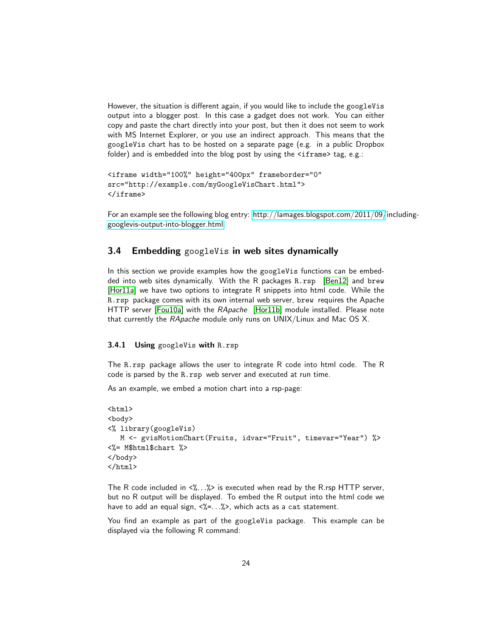However, the situation is different again, if you would like to include the googleVis output into a blogger post. In this case a gadget does not work. You can either copy and paste the chart directly into your post, but then it does not seem to work with MS Internet Explorer, or you use an indirect approach. This means that the googleVis chart has to be hosted on a separate page (e.g. in a public Dropbox folder) and is embedded into the blog post by using the <iframe> tag, e.g.:

```
<iframe width="100%" height="400px" frameborder="0"
src="http://example.com/myGoogleVisChart.html">
</iframe>
```
For an example see the following blog entry: [http://lamages.blogspot.com/2011/09/](http://lamages.blogspot.com/2011/09/including-googlevis-output-into-blogger.html)including[googlevis-output-into-blogger.html.](http://lamages.blogspot.com/2011/09/including-googlevis-output-into-blogger.html)

### <span id="page-23-0"></span>3.4 Embedding googleVis in web sites dynamically

In this section we provide examples how the googleVis functions can be embedded into web sites dynamically. With the R packages R.rsp [\[Ben12\]](#page-33-6) and brew [\[Hor11a\]](#page-34-13) we have two options to integrate R snippets into html code. While the R.rsp package comes with its own internal web server, brew requires the Apache HTTP server [\[Fou10a\]](#page-33-9) with the RApache [\[Hor11b\]](#page-34-14) module installed. Please note that currently the RApache module only runs on UNIX/Linux and Mac OS X.

### <span id="page-23-1"></span>3.4.1 Using googleVis with R.rsp

The R.rsp package allows the user to integrate R code into html code. The R code is parsed by the R.rsp web server and executed at run time.

As an example, we embed a motion chart into a rsp-page:

```
\hbox{\tt <html>>}<body>
<% library(googleVis)
   M <- gvisMotionChart(Fruits, idvar="Fruit", timevar="Year") %>
<%= M$html$chart %>
</body>
</html>
```
The R code included in  $\langle\!\langle \cdots \rangle\!\rangle$  is executed when read by the R rsp HTTP server, but no R output will be displayed. To embed the R output into the html code we have to add an equal sign,  $\langle\% = ... \&\rangle$ , which acts as a cat statement.

You find an example as part of the googleVis package. This example can be displayed via the following R command: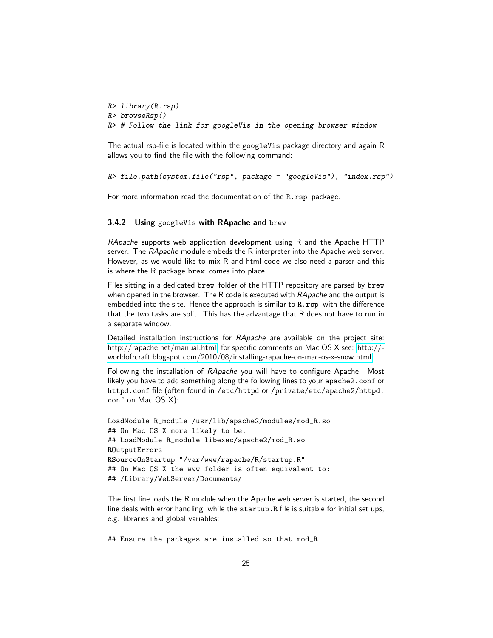```
R> library(R.rsp)
R> browseRsp()
R> # Follow the link for googleVis in the opening browser window
```
The actual rsp-file is located within the googleVis package directory and again R allows you to find the file with the following command:

```
R> file.path(system.file("rsp", package = "googleVis"), "index.rsp")
```
For more information read the documentation of the R.rsp package.

#### <span id="page-24-0"></span>3.4.2 Using googleVis with RApache and brew

RApache supports web application development using R and the Apache HTTP server. The RApache module embeds the R interpreter into the Apache web server. However, as we would like to mix R and html code we also need a parser and this is where the R package brew comes into place.

Files sitting in a dedicated brew folder of the HTTP repository are parsed by brew when opened in the browser. The R code is executed with RApache and the output is embedded into the site. Hence the approach is similar to R.rsp with the difference that the two tasks are split. This has the advantage that R does not have to run in a separate window.

Detailed installation instructions for RApache are available on the project site: [http://rapache.net/manual.html,](http://rapache.net/manual.html) for specific comments on Mac OS X see: [http://](http://worldofrcraft.blogspot.com/2010/08/installing-rapache-on-mac-os-x-snow.html) [worldofrcraft.blogspot.com/2010/08/installing-rapache-on-mac-os-x-snow.html](http://worldofrcraft.blogspot.com/2010/08/installing-rapache-on-mac-os-x-snow.html)

Following the installation of RApache you will have to configure Apache. Most likely you have to add something along the following lines to your apache2.conf or httpd.conf file (often found in /etc/httpd or /private/etc/apache2/httpd. conf on Mac OS X):

```
LoadModule R_module /usr/lib/apache2/modules/mod_R.so
## On Mac OS X more likely to be:
## LoadModule R_module libexec/apache2/mod_R.so
ROutputErrors
RSourceOnStartup "/var/www/rapache/R/startup.R"
## On Mac OS X the www folder is often equivalent to:
## /Library/WebServer/Documents/
```
The first line loads the R module when the Apache web server is started, the second line deals with error handling, while the startup.R file is suitable for initial set ups, e.g. libraries and global variables:

## Ensure the packages are installed so that mod\_R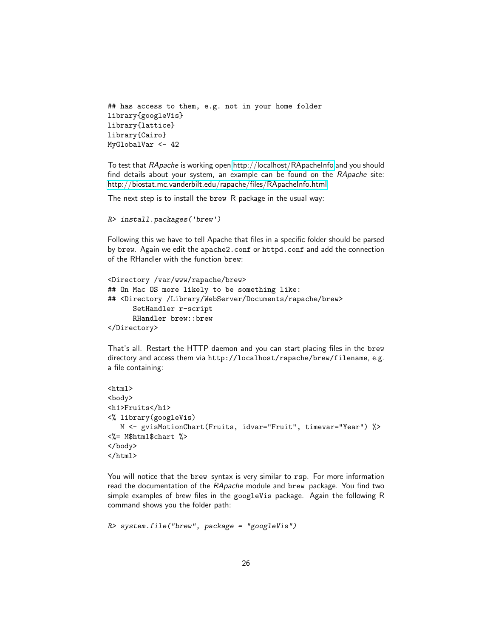```
## has access to them, e.g. not in your home folder
library{googleVis}
library{lattice}
library{Cairo}
MyGlobalVar <- 42
```
To test that RApache is working open<http://localhost/RApacheInfo> and you should find details about your system, an example can be found on the RApache site: <http://biostat.mc.vanderbilt.edu/rapache/files/RApacheInfo.html>

The next step is to install the brew R package in the usual way:

```
R> install.packages('brew')
```
Following this we have to tell Apache that files in a specific folder should be parsed by brew. Again we edit the apache2.conf or httpd.conf and add the connection of the RHandler with the function brew:

```
<Directory /var/www/rapache/brew>
## On Mac OS more likely to be something like:
## <Directory /Library/WebServer/Documents/rapache/brew>
      SetHandler r-script
      RHandler brew::brew
</Directory>
```
That's all. Restart the HTTP daemon and you can start placing files in the brew directory and access them via http://localhost/rapache/brew/filename, e.g. a file containing:

```
<html>
<body>
<h1>Fruits</h1>
<% library(googleVis)
  M <- gvisMotionChart(Fruits, idvar="Fruit", timevar="Year") %>
<%= M$html$chart %>
</body>
</html>
```
You will notice that the brew syntax is very similar to rsp. For more information read the documentation of the RApache module and brew package. You find two simple examples of brew files in the googleVis package. Again the following R command shows you the folder path:

```
R> system.file("brew", package = "googleVis")
```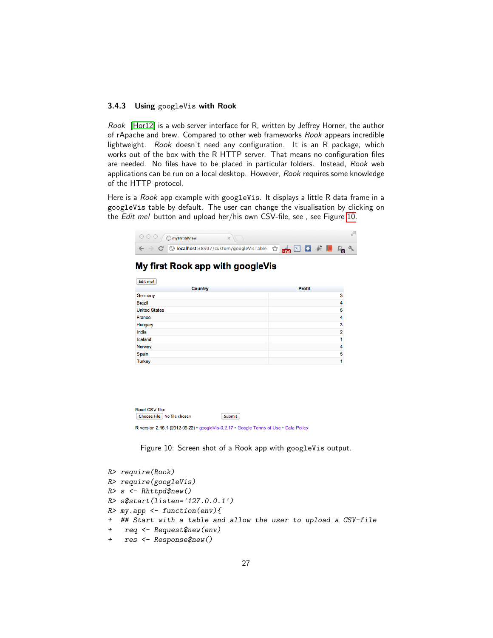#### <span id="page-26-0"></span>3.4.3 Using googleVis with Rook

Rook [\[Hor12\]](#page-34-15) is a web server interface for R, written by Jeffrey Horner, the author of rApache and brew. Compared to other web frameworks Rook appears incredible lightweight. Rook doesn't need any configuration. It is an R package, which works out of the box with the R HTTP server. That means no configuration files are needed. No files have to be placed in particular folders. Instead, Rook web applications can be run on a local desktop. However, Rook requires some knowledge of the HTTP protocol.

Here is a Rook app example with googleVis. It displays a little R data frame in a googleVis table by default. The user can change the visualisation by clicking on the Edit me! button and upload her/his own CSV-file, see, see Figure [10.](#page-26-1)

|                           | Profit         |
|---------------------------|----------------|
| <b>Country</b><br>Germany | 3              |
| <b>Brazil</b>             | 4              |
| <b>United States</b>      | 5              |
| France                    | 4              |
| Hungary                   | 3              |
| India                     | $\overline{2}$ |
| Iceland                   | 1              |
| Norway                    | 4              |
| Spain                     | 5              |
| <b>Turkey</b>             | 1              |

<span id="page-26-1"></span>Figure 10: Screen shot of a Rook app with googleVis output.

```
R> require(Rook)
R> require(googleVis)
R > s <- Rhttpd$new()
R> s$start(listen='127.0.0.1')
R> my.app \leq function(env){
+ ## Start with a table and allow the user to upload a CSV-file
+ req <- Request$new(env)
+ res <- Response$new()
```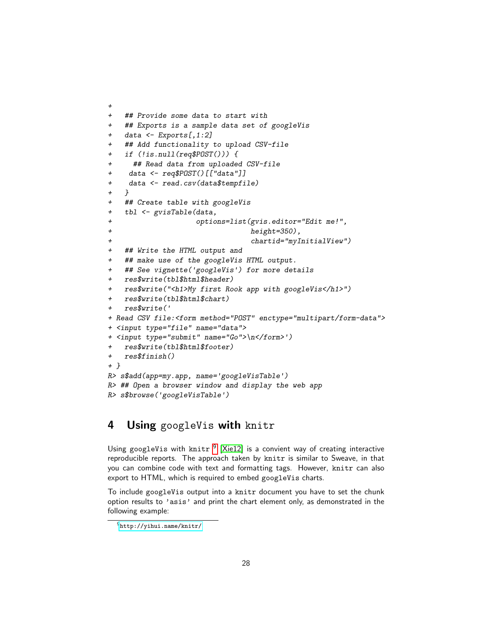```
+ ## Provide some data to start with
   ## Exports is a sample data set of googleVis
+ data <- Exports[,1:2]
   ## Add functionality to upload CSV-file
+ if (!is.null(req$POST())) {
     ## Read data from uploaded CSV-file
+ data <- req$POST()[["data"]]
    data <- read.csv(data$tempfile)
+ }
+ ## Create table with googleVis
+ tbl <- gvisTable(data,
+ options=list(gvis.editor="Edit me!",
+ height=350),
+ chartid="myInitialView")
  ## Write the HTML output and
+ ## make use of the googleVis HTML output.
  + ## See vignette('googleVis') for more details
+ res$write(tbl$html$header)
   + res$write("<h1>My first Rook app with googleVis</h1>")
   + res$write(tbl$html$chart)
   + res$write('
+ Read CSV file:<form method="POST" enctype="multipart/form-data">
+ <input type="file" name="data">
+ <input type="submit" name="Go">\n</form>')
   + res$write(tbl$html$footer)
+ res$finish()
+ }
R> s$add(app=my.app, name='googleVisTable')
R> ## Open a browser window and display the web app
R> s$browse('googleVisTable')
```
### <span id="page-27-0"></span>4 Using googleVis with knitr

Using googleVis with knitr  $^9$  $^9$  [\[Xie12\]](#page-35-1) is a convient way of creating interactive reproducible reports. The approach taken by knitr is similar to Sweave, in that you can combine code with text and formatting tags. However, knitr can also export to HTML, which is required to embed googleVis charts.

To include googleVis output into a knitr document you have to set the chunk option results to 'asis' and print the chart element only, as demonstrated in the following example:

+

<span id="page-27-1"></span><sup>9</sup><http://yihui.name/knitr/>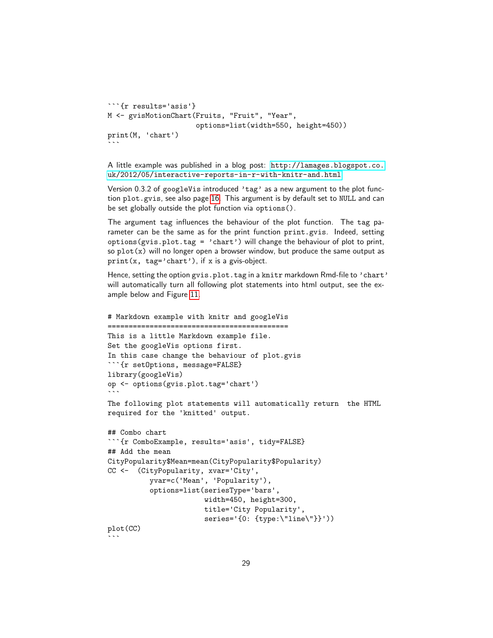```
```{r results='asis'}
M <- gvisMotionChart(Fruits, "Fruit", "Year",
                        options=list(width=550, height=450))
print(M, 'chart')
\ddot{\phantom{0}}
```
A little example was published in a blog post: [http://lamages.blogspot.co.](http://lamages.blogspot.co.uk/2012/05/interactive-reports-in-r-with-knitr-and.html) [uk/2012/05/interactive-reports-in-r-with-knitr-and.html](http://lamages.blogspot.co.uk/2012/05/interactive-reports-in-r-with-knitr-and.html)

Version 0.3.2 of googleVis introduced 'tag' as a new argument to the plot function plot.gvis, see also page [16.](#page-15-0) This argument is by default set to NULL and can be set globally outside the plot function via options().

The argument tag influences the behaviour of the plot function. The tag parameter can be the same as for the print function print.gvis. Indeed, setting options(gvis.plot.tag = 'chart') will change the behaviour of plot to print, so  $plot(x)$  will no longer open a browser window, but produce the same output as print(x, tag='chart'), if x is a gvis-object.

Hence, setting the option gvis.plot.tag in a knitr markdown Rmd-file to 'chart' will automatically turn all following plot statements into html output, see the example below and Figure [11.](#page-29-0)

```
# Markdown example with knitr and googleVis
===========================================
This is a little Markdown example file.
Set the googleVis options first.
In this case change the behaviour of plot.gvis
```{r setOptions, message=FALSE}
library(googleVis)
op <- options(gvis.plot.tag='chart')
\ddot{\phantom{0}}The following plot statements will automatically return the HTML
required for the 'knitted' output.
## Combo chart
```{r ComboExample, results='asis', tidy=FALSE}
## Add the mean
CityPopularity$Mean=mean(CityPopularity$Popularity)
CC <- (CityPopularity, xvar='City',
          yvar=c('Mean', 'Popularity'),
          options=list(seriesType='bars',
                       width=450, height=300,
                       title='City Popularity',
                       series='{0: {type:\"line\"}}'))
plot(CC)
```
 $\ddotsc$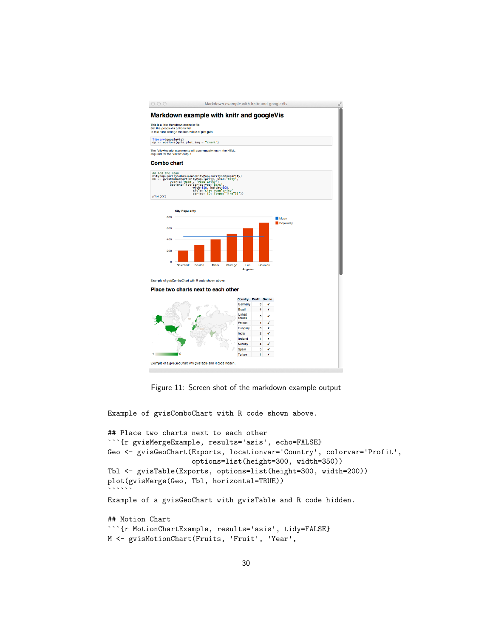

<span id="page-29-0"></span>

Example of gvisComboChart with R code shown above.

```
## Place two charts next to each other
```{r gvisMergeExample, results='asis', echo=FALSE}
Geo <- gvisGeoChart(Exports, locationvar='Country', colorvar='Profit',
                    options=list(height=300, width=350))
Tbl <- gvisTable(Exports, options=list(height=300, width=200))
plot(gvisMerge(Geo, Tbl, horizontal=TRUE))
``````
Example of a gvisGeoChart with gvisTable and R code hidden.
## Motion Chart
```{r MotionChartExample, results='asis', tidy=FALSE}
```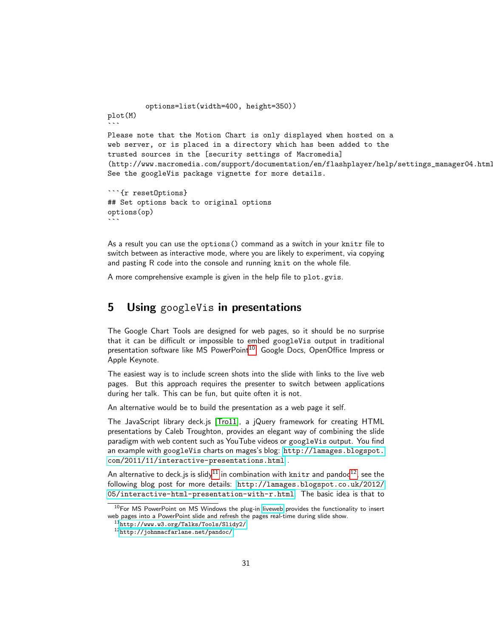```
options=list(width=400, height=350))
plot(M)
\ddotscPlease note that the Motion Chart is only displayed when hosted on a
web server, or is placed in a directory which has been added to the
trusted sources in the [security settings of Macromedia]
(http://www.macromedia.com/support/documentation/en/flashplayer/help/settings_manager04.html).
See the googleVis package vignette for more details.
```

```
```{r resetOptions}
## Set options back to original options
options(op)
\ddot{\phantom{0}}
```
As a result you can use the options() command as a switch in your knitr file to switch between as interactive mode, where you are likely to experiment, via copying and pasting R code into the console and running knit on the whole file.

A more comprehensive example is given in the help file to plot.gvis.

### <span id="page-30-0"></span>**5** Using googleVis in presentations

The Google Chart Tools are designed for web pages, so it should be no surprise that it can be difficult or impossible to embed googleVis output in traditional presentation software like MS PowerPoint<sup>[10](#page-30-1)</sup>, Google Docs, OpenOffice Impress or Apple Keynote.

The easiest way is to include screen shots into the slide with links to the live web pages. But this approach requires the presenter to switch between applications during her talk. This can be fun, but quite often it is not.

An alternative would be to build the presentation as a web page it self.

The JavaScript library deck.js [\[Tro11\]](#page-35-2), a jQuery framework for creating HTML presentations by Caleb Troughton, provides an elegant way of combining the slide paradigm with web content such as YouTube videos or googleVis output. You find an example with googleVis charts on mages's blog: [http://lamages.blogspot.](http://lamages.blogspot.com/2011/11/interactive-presentations.html) [com/2011/11/interactive-presentations.html](http://lamages.blogspot.com/2011/11/interactive-presentations.html) .

An alternative to deck.js is slidy<sup>[11](#page-30-2)</sup> in combination with knitr and pandoc<sup>[12](#page-30-3)</sup>, see the following blog post for more details: [http://lamages.blogspot.co.uk/2012/](http://lamages.blogspot.co.uk/2012/05/interactive-html-presentation-with-r.html) [05/interactive-html-presentation-with-r.html](http://lamages.blogspot.co.uk/2012/05/interactive-html-presentation-with-r.html). The basic idea is that to

<span id="page-30-1"></span><sup>&</sup>lt;sup>10</sup>For MS PowerPoint on MS Windows the plug-in [liveweb](http://skp.mvps.org/liveweb.htm) provides the functionality to insert web pages into a PowerPoint slide and refresh the pages real-time during slide show.

<span id="page-30-2"></span><sup>11</sup><http://www.w3.org/Talks/Tools/Slidy2/>

<span id="page-30-3"></span><sup>12</sup><http://johnmacfarlane.net/pandoc/>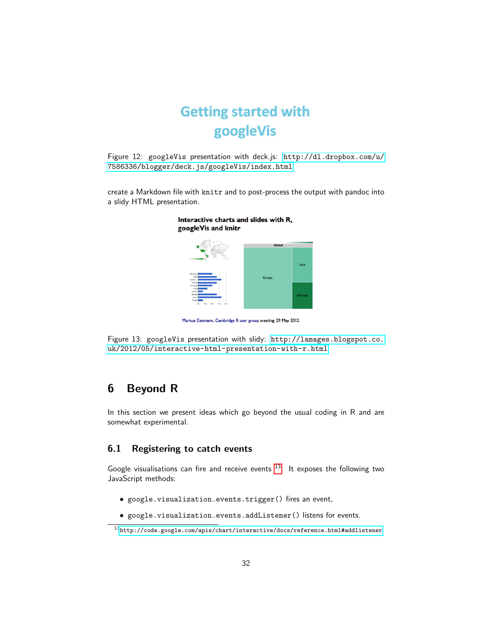

Figure 12: googleVis presentation with deck.js: [http://dl.dropbox.com/u/](http://dl.dropbox.com/u/7586336/blogger/deck.js/googleVis/index.html) [7586336/blogger/deck.js/googleVis/index.html](http://dl.dropbox.com/u/7586336/blogger/deck.js/googleVis/index.html)

create a Markdown file with knitr and to post-process the output with pandoc into a slidy HTML presentation.



Interactive charts and slides with R, googleVis and knitr

Markus Gesmann, Cambridge R user group meeting, 29 May 2012

Figure 13: googleVis presentation with slidy: [http://lamages.blogspot.co.](http://lamages.blogspot.co.uk/2012/05/interactive-html-presentation-with-r.html) [uk/2012/05/interactive-html-presentation-with-r.html](http://lamages.blogspot.co.uk/2012/05/interactive-html-presentation-with-r.html)

### <span id="page-31-0"></span>6 Beyond R

In this section we present ideas which go beyond the usual coding in R and are somewhat experimental.

### <span id="page-31-1"></span>6.1 Registering to catch events

Google visualisations can fire and receive events  $13$ . It exposes the following two JavaScript methods:

- google.visualization.events.trigger() fires an event,
- google.visualization.events.addListener() listens for events.

<span id="page-31-2"></span><sup>13</sup><http://code.google.com/apis/chart/interactive/docs/reference.html#addlistener>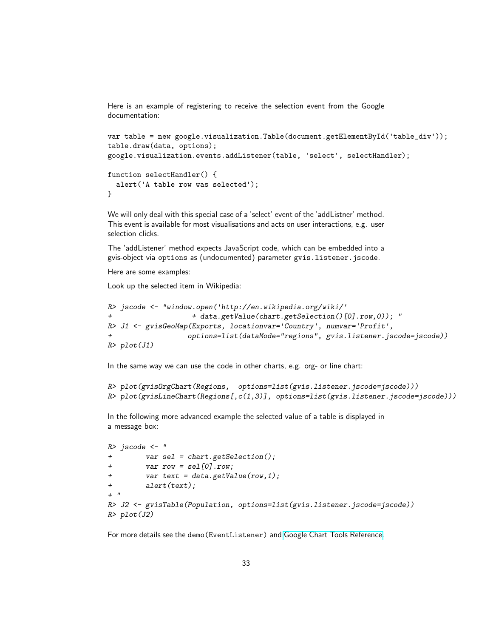Here is an example of registering to receive the selection event from the Google documentation:

```
var table = new google.visualization.Table(document.getElementById('table_div'));
table.draw(data, options);
google.visualization.events.addListener(table, 'select', selectHandler);
function selectHandler() {
  alert('A table row was selected');
}
```
We will only deal with this special case of a 'select' event of the 'addListner' method. This event is available for most visualisations and acts on user interactions, e.g. user selection clicks.

The 'addListener' method expects JavaScript code, which can be embedded into a gvis-object via options as (undocumented) parameter gvis.listener.jscode.

Here are some examples:

Look up the selected item in Wikipedia:

```
R> jscode <- "window.open('http://en.wikipedia.org/wiki/'
                    + data.getValue(chart.getSelection()[0].row,0)); "
R> J1 <- gvisGeoMap(Exports, locationvar='Country', numvar='Profit',
                   options=list(dataMode="regions", gvis.listener.jscode=jscode))
R> plot(J1)
```
In the same way we can use the code in other charts, e.g. org- or line chart:

```
R> plot(gvisOrgChart(Regions, options=list(gvis.listener.jscode=jscode)))
R> plot(gvisLineChart(Regions[,c(1,3)], options=list(gvis.listener.jscode=jscode)))
```
In the following more advanced example the selected value of a table is displayed in a message box:

```
R> jscode <- "
+ var sel = chart.getSelection();
+ var row = sel[0].row;
+ var text = data.getValue(row,1);
+ alert(text);
+ "
R> J2 <- gvisTable(Population, options=list(gvis.listener.jscode=jscode))
R> plot(J2)
```
For more details see the demo(EventListener) and [Google Chart Tools Reference.](https://developers.google.com/chart/interactive/docs/reference)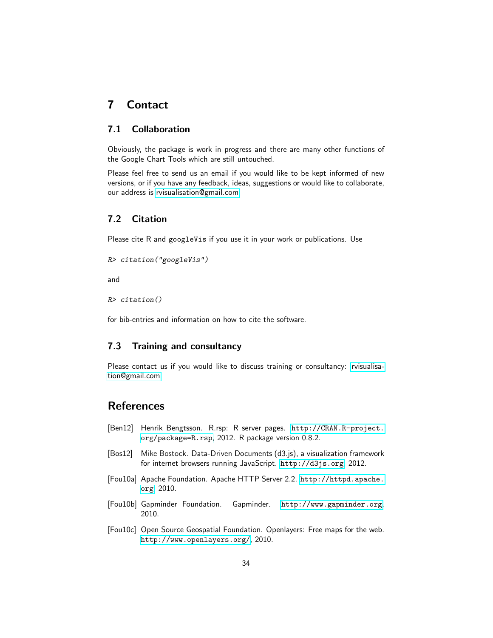### <span id="page-33-0"></span>7 Contact

### <span id="page-33-1"></span>7.1 Collaboration

Obviously, the package is work in progress and there are many other functions of the Google Chart Tools which are still untouched.

Please feel free to send us an email if you would like to be kept informed of new versions, or if you have any feedback, ideas, suggestions or would like to collaborate, our address is [rvisualisation@gmail.com.](mailto:rvisualisation@gmail.com)

### <span id="page-33-2"></span>7.2 Citation

Please cite R and googleVis if you use it in your work or publications. Use

```
R> citation("googleVis")
```
and

R> citation()

for bib-entries and information on how to cite the software.

### <span id="page-33-3"></span>7.3 Training and consultancy

Please contact us if you would like to discuss training or consultancy: [rvisualisa](mailto:rvisualisation@gmail.com?subject=Training-and-consultancy)[tion@gmail.com](mailto:rvisualisation@gmail.com?subject=Training-and-consultancy)

### <span id="page-33-4"></span>References

- <span id="page-33-6"></span>[Ben12] Henrik Bengtsson. R.rsp: R server pages. [http://CRAN.R-project.](http://CRAN.R-project.org/package=R.rsp) [org/package=R.rsp](http://CRAN.R-project.org/package=R.rsp), 2012. R package version 0.8.2.
- <span id="page-33-7"></span>[Bos12] Mike Bostock. Data-Driven Documents (d3.js), a visualization framework for internet browsers running JavaScript. <http://d3js.org>, 2012.
- <span id="page-33-9"></span>[Fou10a] Apache Foundation. Apache HTTP Server 2.2. [http://httpd.apache.](http://httpd.apache.org) [org](http://httpd.apache.org), 2010.
- <span id="page-33-5"></span>[Fou10b] Gapminder Foundation. Gapminder. <http://www.gapminder.org>, 2010.
- <span id="page-33-8"></span>[Fou10c] Open Source Geospatial Foundation. Openlayers: Free maps for the web. <http://www.openlayers.org/>, 2010.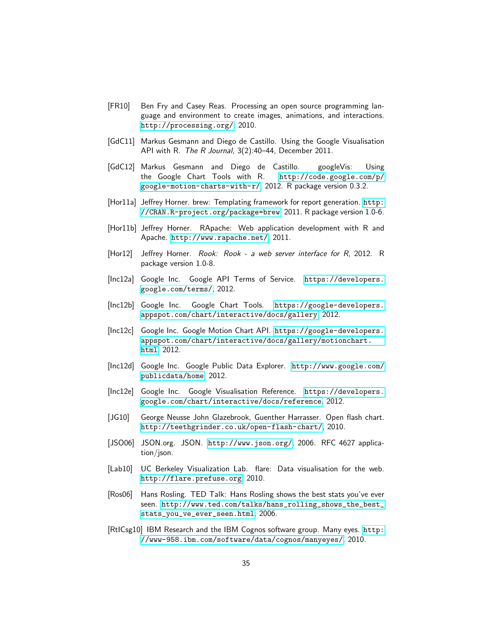- <span id="page-34-6"></span>[FR10] Ben Fry and Casey Reas. Processing an open source programming language and environment to create images, animations, and interactions. <http://processing.org/>, 2010.
- <span id="page-34-3"></span>[GdC11] Markus Gesmann and Diego de Castillo. Using the Google Visualisation API with R. The R Journal, 3(2):40–44, December 2011.
- <span id="page-34-2"></span>[GdC12] Markus Gesmann and Diego de Castillo. googleVis: Using the Google Chart Tools with R. [http://code.google.com/p/](http://code.google.com/p/google-motion-charts-with-r/) [google-motion-charts-with-r/](http://code.google.com/p/google-motion-charts-with-r/), 2012. R package version 0.3.2.
- <span id="page-34-13"></span>[Hor11a] Jeffrey Horner. brew: Templating framework for report generation. [http:](http://CRAN.R-project.org/package=brew) [//CRAN.R-project.org/package=brew](http://CRAN.R-project.org/package=brew), 2011. R package version 1.0-6.
- <span id="page-34-14"></span>[Hor11b] Jeffrey Horner. RApache: Web application development with R and Apache. <http://www.rapache.net/>, 2011.
- <span id="page-34-15"></span>[Hor12] Jeffrey Horner. Rook: Rook - a web server interface for R, 2012. R package version 1.0-8.
- <span id="page-34-12"></span>[Inc12a] Google Inc. Google API Terms of Service. [https://developers.](https://developers.google.com/terms/) [google.com/terms/](https://developers.google.com/terms/), 2012.
- <span id="page-34-1"></span>[Inc12b] Google Inc. Google Chart Tools. [https://google-developers.](https://google-developers.appspot.com/chart/interactive/docs/gallery) [appspot.com/chart/interactive/docs/gallery](https://google-developers.appspot.com/chart/interactive/docs/gallery), 2012.
- <span id="page-34-11"></span>[Inc12c] Google Inc. Google Motion Chart API. [https://google-developers.](https://google-developers.appspot.com/chart/interactive/docs/gallery/motionchart.html) [appspot.com/chart/interactive/docs/gallery/motionchart.](https://google-developers.appspot.com/chart/interactive/docs/gallery/motionchart.html) [html](https://google-developers.appspot.com/chart/interactive/docs/gallery/motionchart.html), 2012.
- <span id="page-34-8"></span>[Inc12d] Google Inc. Google Public Data Explorer. [http://www.google.com/](http://www.google.com/publicdata/home) [publicdata/home](http://www.google.com/publicdata/home), 2012.
- <span id="page-34-9"></span>[Inc12e] Google Inc. Google Visualisation Reference. [https://developers.](https://developers.google.com/chart/interactive/docs/reference) [google.com/chart/interactive/docs/reference](https://developers.google.com/chart/interactive/docs/reference), 2012.
- <span id="page-34-5"></span>[JG10] George Neusse John Glazebrook, Guenther Harrasser. Open flash chart. <http://teethgrinder.co.uk/open-flash-chart/>, 2010.
- <span id="page-34-10"></span>[JSO06] JSON.org. JSON. <http://www.json.org/>, 2006. RFC 4627 application/json.
- <span id="page-34-7"></span>[Lab10] UC Berkeley Visualization Lab. flare: Data visualisation for the web. <http://flare.prefuse.org>, 2010.
- <span id="page-34-0"></span>[Ros06] Hans Rosling. TED Talk: Hans Rosling shows the best stats you've ever seen. [http://www.ted.com/talks/hans\\_rolling\\_shows\\_the\\_best\\_](http://www.ted.com/talks/hans_rolling_shows_the_best_stats_you_ve_ever_seen.html) [stats\\_you\\_ve\\_ever\\_seen.html](http://www.ted.com/talks/hans_rolling_shows_the_best_stats_you_ve_ever_seen.html), 2006.
- <span id="page-34-4"></span>[RtICsg10] IBM Research and the IBM Cognos software group. Many eyes. [http:](http://www-958.ibm.com/software/data/cognos/manyeyes/) [//www-958.ibm.com/software/data/cognos/manyeyes/](http://www-958.ibm.com/software/data/cognos/manyeyes/), 2010.